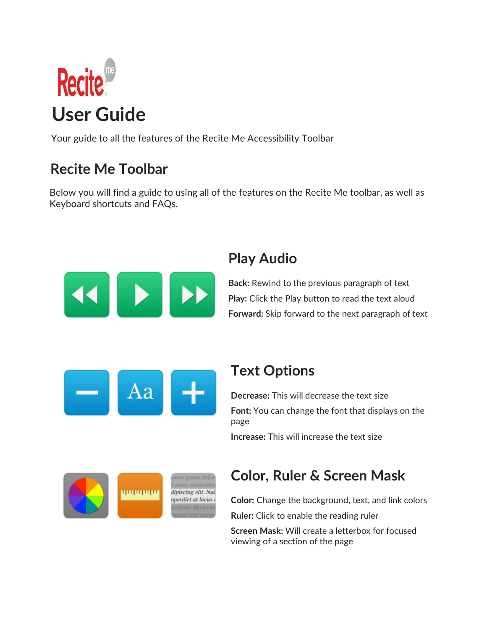

Your guide to all the features of the Recite Me Accessibility Toolbar

# **Recite Me Toolbar**

Below you will find a guide to using all of the features on the Recite Me toolbar, as well as Keyboard shortcuts and FAQs.



### **Play Audio**

**Back:** Rewind to the previous paragraph of text **Play:** Click the Play button to read the text aloud **Forward:** Skip forward to the next paragraph of text



### **Text Options**

**Decrease:** This will decrease the text size **Font:** You can change the font that displays on the page

**Increase:** This will increase the text size



dipiscing elit. Nul. nperdiet at lacus d 11 Maeco

### **Color, Ruler & Screen Mask**

**Color:** Change the background, text, and link colors **Ruler:** Click to enable the reading ruler **Screen Mask:** Will create a letterbox for focused viewing of a section of the page